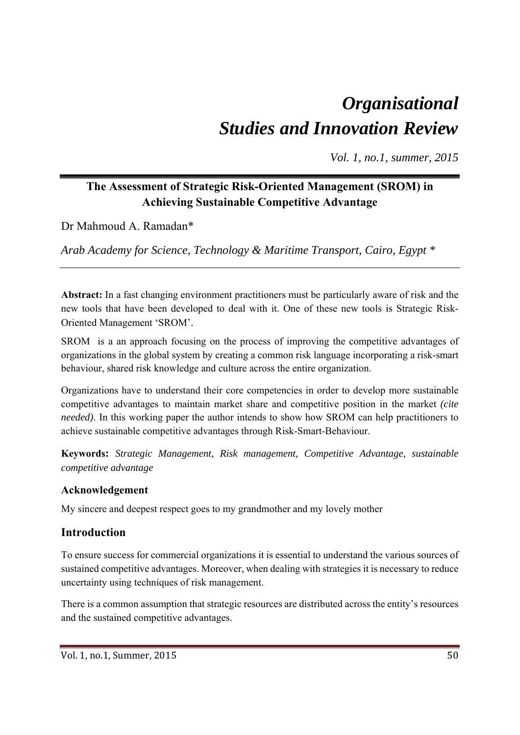# *Organisational Studies and Innovation Review*

*Vol. 1, no.1, summer, 2015* 

## **The Assessment of Strategic Risk-Oriented Management (SROM) in Achieving Sustainable Competitive Advantage**

Dr Mahmoud A. Ramadan\*

*Arab Academy for Science, Technology & Maritime Transport, Cairo, Egypt \** 

**Abstract:** In a fast changing environment practitioners must be particularly aware of risk and the new tools that have been developed to deal with it. One of these new tools is Strategic Risk-Oriented Management 'SROM'.

SROM is a an approach focusing on the process of improving the competitive advantages of organizations in the global system by creating a common risk language incorporating a risk-smart behaviour, shared risk knowledge and culture across the entire organization.

Organizations have to understand their core competencies in order to develop more sustainable competitive advantages to maintain market share and competitive position in the market *(cite needed*). In this working paper the author intends to show how SROM can help practitioners to achieve sustainable competitive advantages through Risk-Smart-Behaviour.

**Keywords:** *Strategic Management, Risk management, Competitive Advantage, sustainable competitive advantage* 

#### **Acknowledgement**

My sincere and deepest respect goes to my grandmother and my lovely mother

## **Introduction**

To ensure success for commercial organizations it is essential to understand the various sources of sustained competitive advantages. Moreover, when dealing with strategies it is necessary to reduce uncertainty using techniques of risk management.

There is a common assumption that strategic resources are distributed across the entity's resources and the sustained competitive advantages.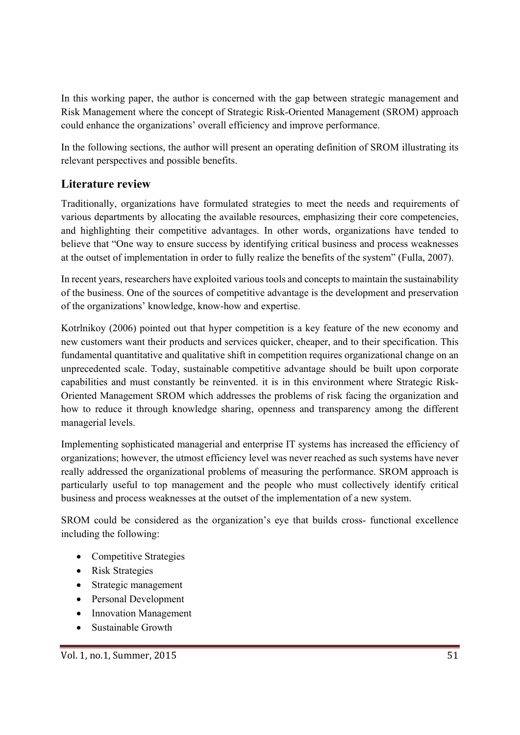In this working paper, the author is concerned with the gap between strategic management and Risk Management where the concept of Strategic Risk-Oriented Management (SROM) approach could enhance the organizations' overall efficiency and improve performance.

In the following sections, the author will present an operating definition of SROM illustrating its relevant perspectives and possible benefits.

## **Literature review**

Traditionally, organizations have formulated strategies to meet the needs and requirements of various departments by allocating the available resources, emphasizing their core competencies, and highlighting their competitive advantages. In other words, organizations have tended to believe that "One way to ensure success by identifying critical business and process weaknesses at the outset of implementation in order to fully realize the benefits of the system" (Fulla, 2007).

In recent years, researchers have exploited various tools and concepts to maintain the sustainability of the business. One of the sources of competitive advantage is the development and preservation of the organizations' knowledge, know-how and expertise.

Kotrlnikoy (2006) pointed out that hyper competition is a key feature of the new economy and new customers want their products and services quicker, cheaper, and to their specification. This fundamental quantitative and qualitative shift in competition requires organizational change on an unprecedented scale. Today, sustainable competitive advantage should be built upon corporate capabilities and must constantly be reinvented. it is in this environment where Strategic Risk-Oriented Management SROM which addresses the problems of risk facing the organization and how to reduce it through knowledge sharing, openness and transparency among the different managerial levels.

Implementing sophisticated managerial and enterprise IT systems has increased the efficiency of organizations; however, the utmost efficiency level was never reached as such systems have never really addressed the organizational problems of measuring the performance. SROM approach is particularly useful to top management and the people who must collectively identify critical business and process weaknesses at the outset of the implementation of a new system.

SROM could be considered as the organization's eye that builds cross- functional excellence including the following:

- Competitive Strategies
- Risk Strategies
- Strategic management
- Personal Development
- Innovation Management
- Sustainable Growth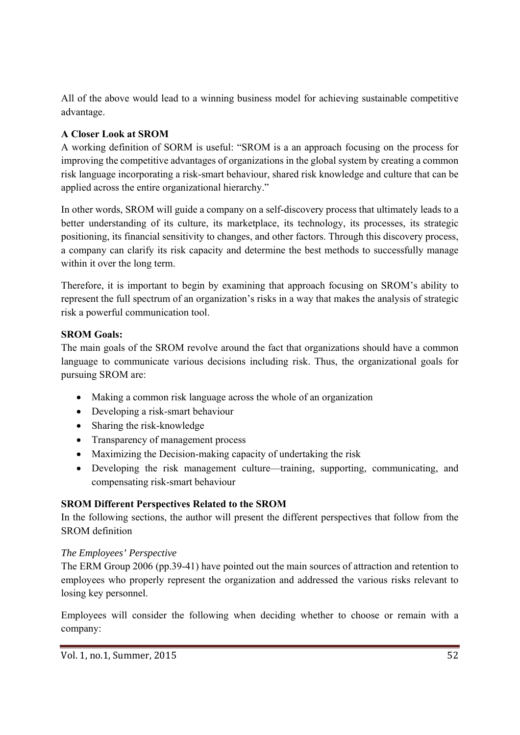All of the above would lead to a winning business model for achieving sustainable competitive advantage.

#### **A Closer Look at SROM**

A working definition of SORM is useful: "SROM is a an approach focusing on the process for improving the competitive advantages of organizations in the global system by creating a common risk language incorporating a risk-smart behaviour, shared risk knowledge and culture that can be applied across the entire organizational hierarchy."

In other words, SROM will guide a company on a self-discovery process that ultimately leads to a better understanding of its culture, its marketplace, its technology, its processes, its strategic positioning, its financial sensitivity to changes, and other factors. Through this discovery process, a company can clarify its risk capacity and determine the best methods to successfully manage within it over the long term.

Therefore, it is important to begin by examining that approach focusing on SROM's ability to represent the full spectrum of an organization's risks in a way that makes the analysis of strategic risk a powerful communication tool.

#### **SROM Goals:**

The main goals of the SROM revolve around the fact that organizations should have a common language to communicate various decisions including risk. Thus, the organizational goals for pursuing SROM are:

- Making a common risk language across the whole of an organization
- Developing a risk-smart behaviour
- Sharing the risk-knowledge
- Transparency of management process
- Maximizing the Decision-making capacity of undertaking the risk
- Developing the risk management culture—training, supporting, communicating, and compensating risk-smart behaviour

#### **SROM Different Perspectives Related to the SROM**

In the following sections, the author will present the different perspectives that follow from the SROM definition

#### *The Employees' Perspective*

The ERM Group 2006 (pp.39-41) have pointed out the main sources of attraction and retention to employees who properly represent the organization and addressed the various risks relevant to losing key personnel.

Employees will consider the following when deciding whether to choose or remain with a company: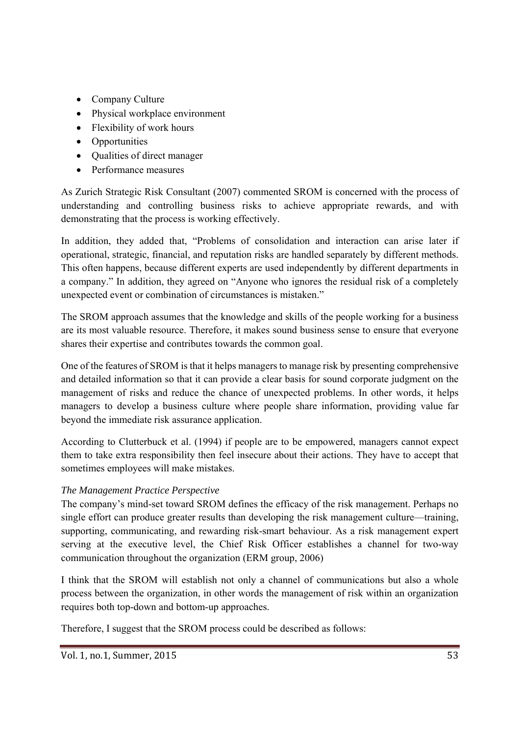- Company Culture
- Physical workplace environment
- Flexibility of work hours
- Opportunities
- Qualities of direct manager
- Performance measures

As Zurich Strategic Risk Consultant (2007) commented SROM is concerned with the process of understanding and controlling business risks to achieve appropriate rewards, and with demonstrating that the process is working effectively.

In addition, they added that, "Problems of consolidation and interaction can arise later if operational, strategic, financial, and reputation risks are handled separately by different methods. This often happens, because different experts are used independently by different departments in a company." In addition, they agreed on "Anyone who ignores the residual risk of a completely unexpected event or combination of circumstances is mistaken."

The SROM approach assumes that the knowledge and skills of the people working for a business are its most valuable resource. Therefore, it makes sound business sense to ensure that everyone shares their expertise and contributes towards the common goal.

One of the features of SROM is that it helps managers to manage risk by presenting comprehensive and detailed information so that it can provide a clear basis for sound corporate judgment on the management of risks and reduce the chance of unexpected problems. In other words, it helps managers to develop a business culture where people share information, providing value far beyond the immediate risk assurance application.

According to Clutterbuck et al. (1994) if people are to be empowered, managers cannot expect them to take extra responsibility then feel insecure about their actions. They have to accept that sometimes employees will make mistakes.

#### *The Management Practice Perspective*

The company's mind-set toward SROM defines the efficacy of the risk management. Perhaps no single effort can produce greater results than developing the risk management culture—training, supporting, communicating, and rewarding risk-smart behaviour. As a risk management expert serving at the executive level, the Chief Risk Officer establishes a channel for two-way communication throughout the organization (ERM group, 2006)

I think that the SROM will establish not only a channel of communications but also a whole process between the organization, in other words the management of risk within an organization requires both top-down and bottom-up approaches.

Therefore, I suggest that the SROM process could be described as follows: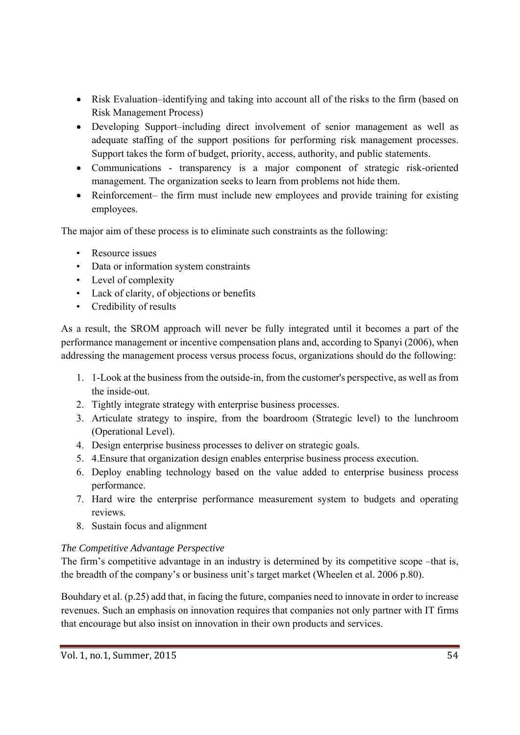- Risk Evaluation–identifying and taking into account all of the risks to the firm (based on Risk Management Process)
- Developing Support–including direct involvement of senior management as well as adequate staffing of the support positions for performing risk management processes. Support takes the form of budget, priority, access, authority, and public statements.
- Communications transparency is a major component of strategic risk-oriented management. The organization seeks to learn from problems not hide them.
- Reinforcement– the firm must include new employees and provide training for existing employees.

The major aim of these process is to eliminate such constraints as the following:

- Resource issues
- Data or information system constraints
- Level of complexity
- Lack of clarity, of objections or benefits
- Credibility of results

As a result, the SROM approach will never be fully integrated until it becomes a part of the performance management or incentive compensation plans and, according to Spanyi (2006), when addressing the management process versus process focus, organizations should do the following:

- 1. 1-Look at the business from the outside-in, from the customer's perspective, as well as from the inside-out.
- 2. Tightly integrate strategy with enterprise business processes.
- 3. Articulate strategy to inspire, from the boardroom (Strategic level) to the lunchroom (Operational Level).
- 4. Design enterprise business processes to deliver on strategic goals.
- 5. 4.Ensure that organization design enables enterprise business process execution.
- 6. Deploy enabling technology based on the value added to enterprise business process performance.
- 7. Hard wire the enterprise performance measurement system to budgets and operating reviews.
- 8. Sustain focus and alignment

#### *The Competitive Advantage Perspective*

The firm's competitive advantage in an industry is determined by its competitive scope –that is, the breadth of the company's or business unit's target market (Wheelen et al. 2006 p.80).

Bouhdary et al. (p.25) add that, in facing the future, companies need to innovate in order to increase revenues. Such an emphasis on innovation requires that companies not only partner with IT firms that encourage but also insist on innovation in their own products and services.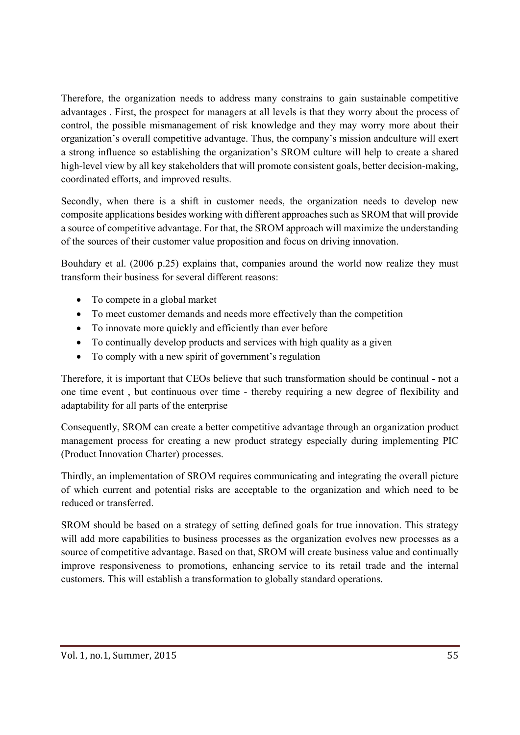Therefore, the organization needs to address many constrains to gain sustainable competitive advantages . First, the prospect for managers at all levels is that they worry about the process of control, the possible mismanagement of risk knowledge and they may worry more about their organization's overall competitive advantage. Thus, the company's mission andculture will exert a strong influence so establishing the organization's SROM culture will help to create a shared high-level view by all key stakeholders that will promote consistent goals, better decision-making, coordinated efforts, and improved results.

Secondly, when there is a shift in customer needs, the organization needs to develop new composite applications besides working with different approaches such as SROM that will provide a source of competitive advantage. For that, the SROM approach will maximize the understanding of the sources of their customer value proposition and focus on driving innovation.

Bouhdary et al. (2006 p.25) explains that, companies around the world now realize they must transform their business for several different reasons:

- To compete in a global market
- To meet customer demands and needs more effectively than the competition
- To innovate more quickly and efficiently than ever before
- To continually develop products and services with high quality as a given
- To comply with a new spirit of government's regulation

Therefore, it is important that CEOs believe that such transformation should be continual - not a one time event , but continuous over time - thereby requiring a new degree of flexibility and adaptability for all parts of the enterprise

Consequently, SROM can create a better competitive advantage through an organization product management process for creating a new product strategy especially during implementing PIC (Product Innovation Charter) processes.

Thirdly, an implementation of SROM requires communicating and integrating the overall picture of which current and potential risks are acceptable to the organization and which need to be reduced or transferred.

SROM should be based on a strategy of setting defined goals for true innovation. This strategy will add more capabilities to business processes as the organization evolves new processes as a source of competitive advantage. Based on that, SROM will create business value and continually improve responsiveness to promotions, enhancing service to its retail trade and the internal customers. This will establish a transformation to globally standard operations.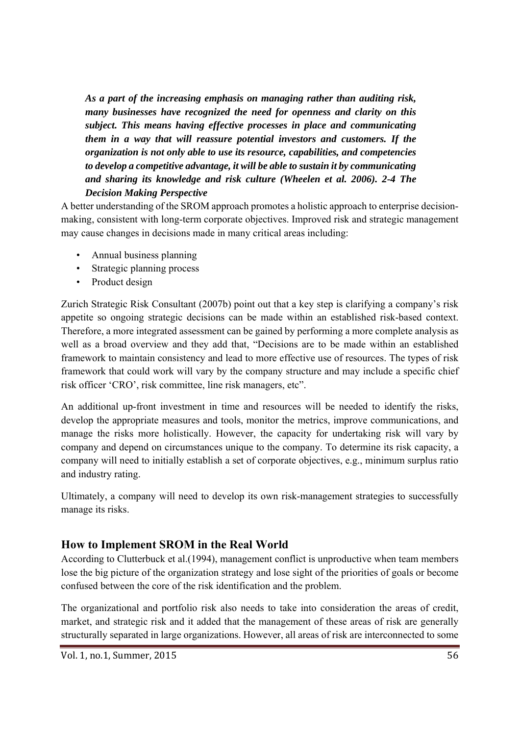*As a part of the increasing emphasis on managing rather than auditing risk, many businesses have recognized the need for openness and clarity on this subject. This means having effective processes in place and communicating them in a way that will reassure potential investors and customers. If the organization is not only able to use its resource, capabilities, and competencies to develop a competitive advantage, it will be able to sustain it by communicating and sharing its knowledge and risk culture (Wheelen et al. 2006). 2-4 The Decision Making Perspective* 

A better understanding of the SROM approach promotes a holistic approach to enterprise decisionmaking, consistent with long-term corporate objectives. Improved risk and strategic management may cause changes in decisions made in many critical areas including:

- Annual business planning
- Strategic planning process
- Product design

Zurich Strategic Risk Consultant (2007b) point out that a key step is clarifying a company's risk appetite so ongoing strategic decisions can be made within an established risk-based context. Therefore, a more integrated assessment can be gained by performing a more complete analysis as well as a broad overview and they add that, "Decisions are to be made within an established framework to maintain consistency and lead to more effective use of resources. The types of risk framework that could work will vary by the company structure and may include a specific chief risk officer 'CRO', risk committee, line risk managers, etc".

An additional up-front investment in time and resources will be needed to identify the risks, develop the appropriate measures and tools, monitor the metrics, improve communications, and manage the risks more holistically. However, the capacity for undertaking risk will vary by company and depend on circumstances unique to the company. To determine its risk capacity, a company will need to initially establish a set of corporate objectives, e.g., minimum surplus ratio and industry rating.

Ultimately, a company will need to develop its own risk-management strategies to successfully manage its risks.

#### **How to Implement SROM in the Real World**

According to Clutterbuck et al.(1994), management conflict is unproductive when team members lose the big picture of the organization strategy and lose sight of the priorities of goals or become confused between the core of the risk identification and the problem.

The organizational and portfolio risk also needs to take into consideration the areas of credit, market, and strategic risk and it added that the management of these areas of risk are generally structurally separated in large organizations. However, all areas of risk are interconnected to some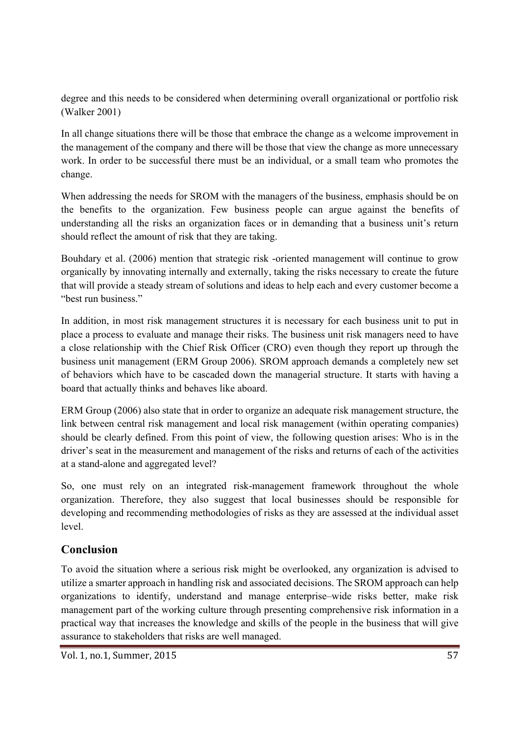degree and this needs to be considered when determining overall organizational or portfolio risk (Walker 2001)

In all change situations there will be those that embrace the change as a welcome improvement in the management of the company and there will be those that view the change as more unnecessary work. In order to be successful there must be an individual, or a small team who promotes the change.

When addressing the needs for SROM with the managers of the business, emphasis should be on the benefits to the organization. Few business people can argue against the benefits of understanding all the risks an organization faces or in demanding that a business unit's return should reflect the amount of risk that they are taking.

Bouhdary et al. (2006) mention that strategic risk -oriented management will continue to grow organically by innovating internally and externally, taking the risks necessary to create the future that will provide a steady stream of solutions and ideas to help each and every customer become a "best run business."

In addition, in most risk management structures it is necessary for each business unit to put in place a process to evaluate and manage their risks. The business unit risk managers need to have a close relationship with the Chief Risk Officer (CRO) even though they report up through the business unit management (ERM Group 2006). SROM approach demands a completely new set of behaviors which have to be cascaded down the managerial structure. It starts with having a board that actually thinks and behaves like aboard.

ERM Group (2006) also state that in order to organize an adequate risk management structure, the link between central risk management and local risk management (within operating companies) should be clearly defined. From this point of view, the following question arises: Who is in the driver's seat in the measurement and management of the risks and returns of each of the activities at a stand-alone and aggregated level?

So, one must rely on an integrated risk-management framework throughout the whole organization. Therefore, they also suggest that local businesses should be responsible for developing and recommending methodologies of risks as they are assessed at the individual asset level.

## **Conclusion**

To avoid the situation where a serious risk might be overlooked, any organization is advised to utilize a smarter approach in handling risk and associated decisions. The SROM approach can help organizations to identify, understand and manage enterprise–wide risks better, make risk management part of the working culture through presenting comprehensive risk information in a practical way that increases the knowledge and skills of the people in the business that will give assurance to stakeholders that risks are well managed.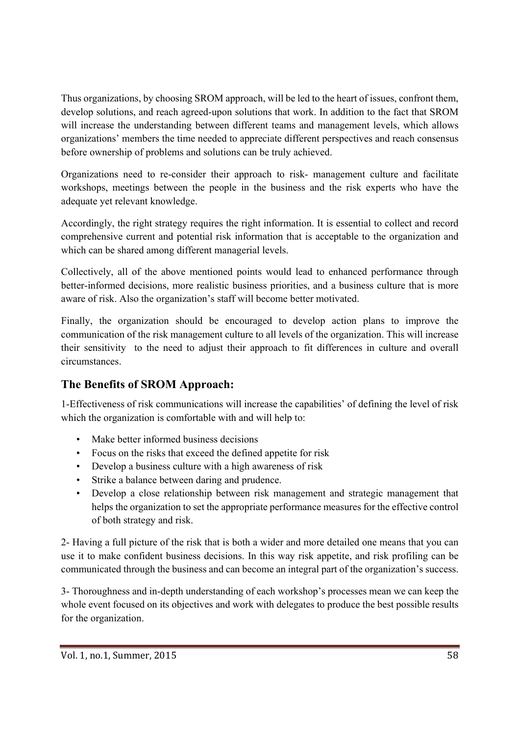Thus organizations, by choosing SROM approach, will be led to the heart of issues, confront them, develop solutions, and reach agreed-upon solutions that work. In addition to the fact that SROM will increase the understanding between different teams and management levels, which allows organizations' members the time needed to appreciate different perspectives and reach consensus before ownership of problems and solutions can be truly achieved.

Organizations need to re-consider their approach to risk- management culture and facilitate workshops, meetings between the people in the business and the risk experts who have the adequate yet relevant knowledge.

Accordingly, the right strategy requires the right information. It is essential to collect and record comprehensive current and potential risk information that is acceptable to the organization and which can be shared among different managerial levels.

Collectively, all of the above mentioned points would lead to enhanced performance through better-informed decisions, more realistic business priorities, and a business culture that is more aware of risk. Also the organization's staff will become better motivated.

Finally, the organization should be encouraged to develop action plans to improve the communication of the risk management culture to all levels of the organization. This will increase their sensitivity to the need to adjust their approach to fit differences in culture and overall circumstances.

# **The Benefits of SROM Approach:**

1-Effectiveness of risk communications will increase the capabilities' of defining the level of risk which the organization is comfortable with and will help to:

- Make better informed business decisions
- Focus on the risks that exceed the defined appetite for risk
- Develop a business culture with a high awareness of risk
- Strike a balance between daring and prudence.
- Develop a close relationship between risk management and strategic management that helps the organization to set the appropriate performance measures for the effective control of both strategy and risk.

2- Having a full picture of the risk that is both a wider and more detailed one means that you can use it to make confident business decisions. In this way risk appetite, and risk profiling can be communicated through the business and can become an integral part of the organization's success.

3- Thoroughness and in-depth understanding of each workshop's processes mean we can keep the whole event focused on its objectives and work with delegates to produce the best possible results for the organization.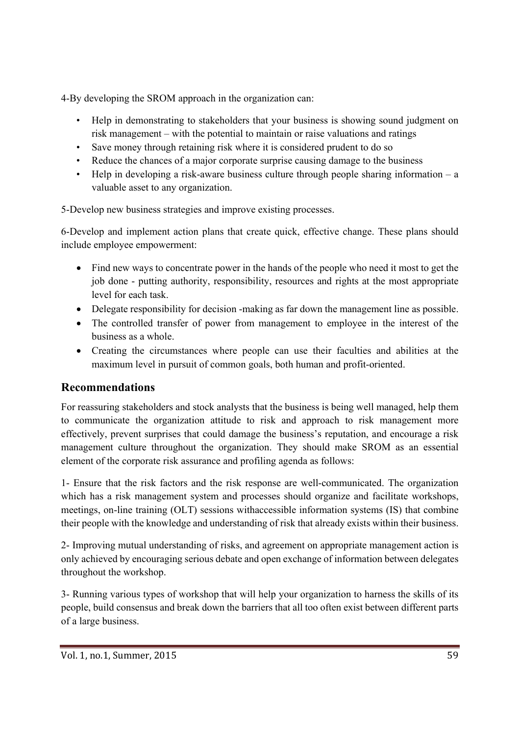4-By developing the SROM approach in the organization can:

- Help in demonstrating to stakeholders that your business is showing sound judgment on risk management – with the potential to maintain or raise valuations and ratings
- Save money through retaining risk where it is considered prudent to do so
- Reduce the chances of a major corporate surprise causing damage to the business
- Help in developing a risk-aware business culture through people sharing information  $-$  a valuable asset to any organization.

5-Develop new business strategies and improve existing processes.

6-Develop and implement action plans that create quick, effective change. These plans should include employee empowerment:

- Find new ways to concentrate power in the hands of the people who need it most to get the job done - putting authority, responsibility, resources and rights at the most appropriate level for each task.
- Delegate responsibility for decision -making as far down the management line as possible.
- The controlled transfer of power from management to employee in the interest of the business as a whole.
- Creating the circumstances where people can use their faculties and abilities at the maximum level in pursuit of common goals, both human and profit-oriented.

# **Recommendations**

For reassuring stakeholders and stock analysts that the business is being well managed, help them to communicate the organization attitude to risk and approach to risk management more effectively, prevent surprises that could damage the business's reputation, and encourage a risk management culture throughout the organization. They should make SROM as an essential element of the corporate risk assurance and profiling agenda as follows:

1- Ensure that the risk factors and the risk response are well-communicated. The organization which has a risk management system and processes should organize and facilitate workshops, meetings, on-line training (OLT) sessions withaccessible information systems (IS) that combine their people with the knowledge and understanding of risk that already exists within their business.

2- Improving mutual understanding of risks, and agreement on appropriate management action is only achieved by encouraging serious debate and open exchange of information between delegates throughout the workshop.

3- Running various types of workshop that will help your organization to harness the skills of its people, build consensus and break down the barriers that all too often exist between different parts of a large business.